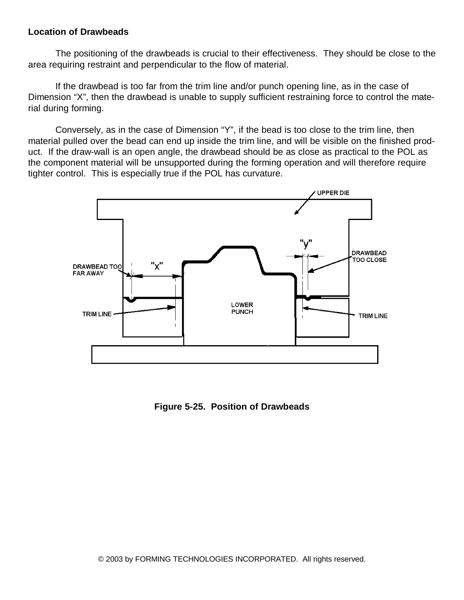## **Location of Drawbeads**

The positioning of the drawbeads is crucial to their effectiveness. They should be close to the area requiring restraint and perpendicular to the flow of material.

If the drawbead is too far from the trim line and/or punch opening line, as in the case of Dimension "X", then the drawbead is unable to supply sufficient restraining force to control the material during forming.

Conversely, as in the case of Dimension "Y", if the bead is too close to the trim line, then material pulled over the bead can end up inside the trim line, and will be visible on the finished product. If the draw-wall is an open angle, the drawbead should be as close as practical to the POL as the component material will be unsupported during the forming operation and will therefore require tighter control. This is especially true if the POL has curvature.



**Figure 5-25. Position of Drawbeads**